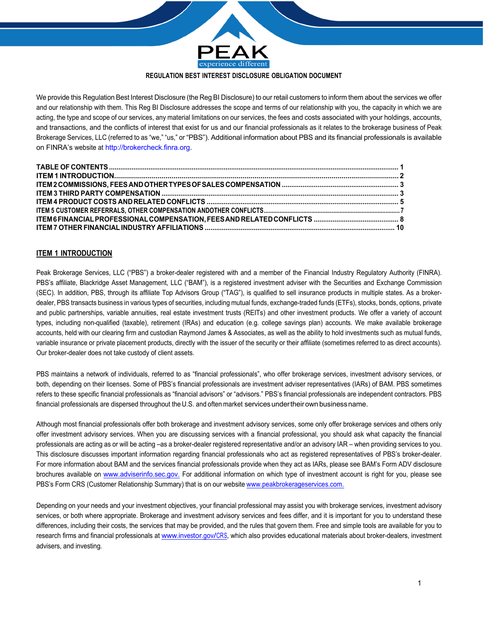

We provide this Regulation Best Interest Disclosure (the Reg BI Disclosure) to our retail customers to inform them about the services we offer and our relationship with them. This Reg BI Disclosure addresses the scope and terms of our relationship with you, the capacity in which we are acting, the type and scope of our services, any material limitations on our services, the fees and costs associated with your holdings, accounts, and transactions, and the conflicts of interest that exist for us and our financial professionals as it relates to the brokerage business of Peak Brokerage Services, LLC (referred to as "we," "us," or "PBS"). Additional information about PBS and its financial professionals is available on FINRA's website at http://brokercheck.finra.org.

# **ITEM 1 INTRODUCTION**

Peak Brokerage Services, LLC ("PBS") a broker-dealer registered with and a member of the Financial Industry Regulatory Authority (FINRA). PBS's affiliate, Blackridge Asset Management, LLC ("BAM"), is a registered investment adviser with the Securities and Exchange Commission (SEC). In addition, PBS, through its affiliate Top Advisors Group ("TAG"), is qualified to sell insurance products in multiple states. As a brokerdealer, PBS transacts business in various types of securities, including mutual funds, exchange-traded funds (ETFs), stocks, bonds, options, private and public partnerships, variable annuities, real estate investment trusts (REITs) and other investment products. We offer a variety of account types, including non-qualified (taxable), retirement (IRAs) and education (e.g. college savings plan) accounts. We make available brokerage accounts, held with our clearing firm and custodian Raymond James & Associates, as well as the ability to hold investments such as mutual funds, variable insurance or private placement products, directly with the issuer of the security or their affiliate (sometimes referred to as direct accounts). Our broker-dealer does not take custody of client assets.

PBS maintains a network of individuals, referred to as "financial professionals", who offer brokerage services, investment advisory services, or both, depending on their licenses. Some of PBS's financial professionals are investment adviser representatives (IARs) of BAM. PBS sometimes refers to these specific financial professionals as "financial advisors" or "advisors." PBS's financial professionals are independent contractors. PBS financial professionals are dispersed throughout the U.S. and often market services under their own business name.

Although most financial professionals offer both brokerage and investment advisory services, some only offer brokerage services and others only offer investment advisory services. When you are discussing services with a financial professional, you should ask what capacity the financial professionals are acting as or will be acting –as a broker-dealer registered representative and/or an advisory IAR – when providing services to you. This disclosure discusses important information regarding financial professionals who act as registered representatives of PBS's broker-dealer. For more information about BAM and the services financial professionals provide when they act as IARs, please see BAM's Form ADV disclosure brochures available on www.adviserinfo.sec.gov. For additional information on which type of investment account is right for you, please see PBS's Form CRS (Customer Relationship Summary) that is on our website www.peakbrokerageservices.com.

Depending on your needs and your investment objectives, your financial professional may assist you with brokerage services, investment advisory services, or both where appropriate. Brokerage and investment advisory services and fees differ, and it is important for you to understand these differences, including their costs, the services that may be provided, and the rules that govern them. Free and simple tools are available for you to research firms and financial professionals at www.investor.gov/CRS, which also provides educational materials about broker-dealers, investment advisers, and investing.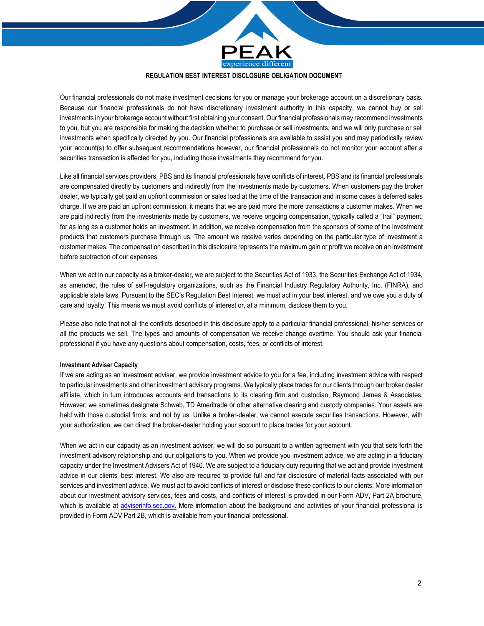

Our financial professionals do not make investment decisions for you or manage your brokerage account on a discretionary basis. Because our financial professionals do not have discretionary investment authority in this capacity, we cannot buy or sell investments in your brokerage account without first obtaining your consent. Our financial professionals may recommend investments to you, but you are responsible for making the decision whether to purchase or sell investments, and we will only purchase or sell investments when specifically directed by you. Our financial professionals are available to assist you and may periodically review your account(s) to offer subsequent recommendations however, our financial professionals do not monitor your account after a securities transaction is affected for you, including those investments they recommend for you.

Like all financial services providers, PBS and its financial professionals have conflicts of interest. PBS and its financial professionals are compensated directly by customers and indirectly from the investments made by customers. When customers pay the broker dealer, we typically get paid an upfront commission or sales load at the time of the transaction and in some cases a deferred sales charge. If we are paid an upfront commission, it means that we are paid more the more transactions a customer makes. When we are paid indirectly from the investments made by customers, we receive ongoing compensation, typically called a "trail" payment, for as long as a customer holds an investment. In addition, we receive compensation from the sponsors of some of the investment products that customers purchase through us. The amount we receive varies depending on the particular type of investment a customer makes. The compensation described in this disclosure represents the maximum gain or profit we receive on an investment before subtraction of our expenses.

When we act in our capacity as a broker-dealer, we are subject to the Securities Act of 1933, the Securities Exchange Act of 1934, as amended, the rules of self-regulatory organizations, such as the Financial Industry Regulatory Authority, Inc. (FINRA), and applicable state laws. Pursuant to the SEC's Regulation Best Interest, we must act in your best interest, and we owe you a duty of care and loyalty. This means we must avoid conflicts of interest or, at a minimum, disclose them to you.

Please also note that not all the conflicts described in this disclosure apply to a particular financial professional, his/her services or all the products we sell. The types and amounts of compensation we receive change overtime. You should ask your financial professional if you have any questions about compensation, costs, fees, or conflicts of interest.

## **Investment Adviser Capacity**

If we are acting as an investment adviser, we provide investment advice to you for a fee, including investment advice with respect to particular investments and other investment advisory programs. We typically place trades for our clients through our broker dealer affiliate, which in turn introduces accounts and transactions to its clearing firm and custodian, Raymond James & Associates. However, we sometimes designate Schwab, TD Ameritrade or other alternative clearing and custody companies. Your assets are held with those custodial firms, and not by us. Unlike a broker-dealer, we cannot execute securities transactions. However, with your authorization, we can direct the broker-dealer holding your account to place trades for your account.

When we act in our capacity as an investment adviser, we will do so pursuant to a written agreement with you that sets forth the investment advisory relationship and our obligations to you. When we provide you investment advice, we are acting in a fiduciary capacity under the Investment Advisers Act of 1940. We are subject to a fiduciary duty requiring that we act and provide investment advice in our clients' best interest. We also are required to provide full and fair disclosure of material facts associated with our services and investment advice. We must act to avoid conflicts of interest or disclose these conflicts to our clients. More information about our investment advisory services, fees and costs, and conflicts of interest is provided in our Form ADV, Part 2A brochure, which is available at adviserinfo.sec.gov. More information about the background and activities of your financial professional is provided in Form ADV Part 2B, which is available from your financial professional.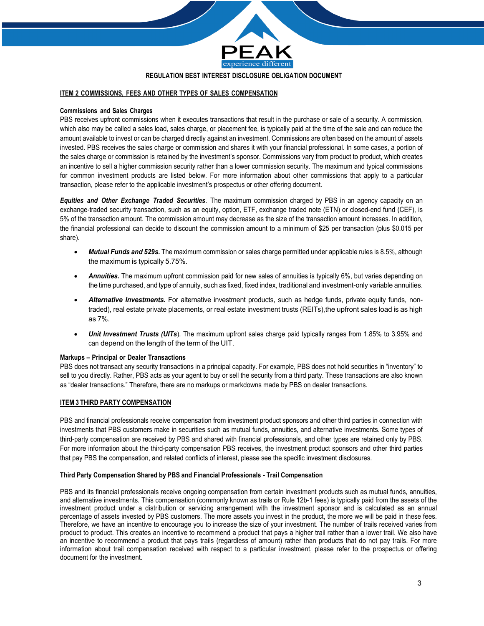

## **ITEM 2 COMMISSIONS, FEES AND OTHER TYPES OF SALES COMPENSATION**

### **Commissions and Sales Charges**

PBS receives upfront commissions when it executes transactions that result in the purchase or sale of a security. A commission, which also may be called a sales load, sales charge, or placement fee, is typically paid at the time of the sale and can reduce the amount available to invest or can be charged directly against an investment. Commissions are often based on the amount of assets invested. PBS receives the sales charge or commission and shares it with your financial professional. In some cases, a portion of the sales charge or commission is retained by the investment's sponsor. Commissions vary from product to product, which creates an incentive to sell a higher commission security rather than a lower commission security. The maximum and typical commissions for common investment products are listed below. For more information about other commissions that apply to a particular transaction, please refer to the applicable investment's prospectus or other offering document.

*Equities and Other Exchange Traded Securities*. The maximum commission charged by PBS in an agency capacity on an exchange-traded security transaction, such as an equity, option, ETF, exchange traded note (ETN) or closed-end fund (CEF), is 5% of the transaction amount. The commission amount may decrease as the size of the transaction amount increases. In addition, the financial professional can decide to discount the commission amount to a minimum of \$25 per transaction (plus \$0.015 per share).

- *Mutual Funds and 529s.* The maximum commission or sales charge permitted under applicable rules is 8.5%, although the maximum is typically 5.75%.
- *Annuities.* The maximum upfront commission paid for new sales of annuities is typically 6%, but varies depending on the time purchased, and type of annuity, such as fixed, fixed index, traditional and investment-only variable annuities.
- *Alternative Investments.* For alternative investment products, such as hedge funds, private equity funds, nontraded), real estate private placements, or real estate investment trusts (REITs),the upfront sales load is as high as 7%.
- *Unit Investment Trusts (UITs*). The maximum upfront sales charge paid typically ranges from 1.85% to 3.95% and can depend on the length of the term of the UIT.

#### **Markups – Principal or Dealer Transactions**

PBS does not transact any security transactions in a principal capacity. For example, PBS does not hold securities in "inventory" to sell to you directly. Rather, PBS acts as your agent to buy or sell the security from a third party. These transactions are also known as "dealer transactions." Therefore, there are no markups or markdowns made by PBS on dealer transactions.

#### **ITEM 3 THIRD PARTY COMPENSATION**

PBS and financial professionals receive compensation from investment product sponsors and other third parties in connection with investments that PBS customers make in securities such as mutual funds, annuities, and alternative investments. Some types of third-party compensation are received by PBS and shared with financial professionals, and other types are retained only by PBS. For more information about the third-party compensation PBS receives, the investment product sponsors and other third parties that pay PBS the compensation, and related conflicts of interest, please see the specific investment disclosures.

#### **Third Party Compensation Shared by PBS and Financial Professionals - Trail Compensation**

PBS and its financial professionals receive ongoing compensation from certain investment products such as mutual funds, annuities, and alternative investments. This compensation (commonly known as trails or Rule 12b-1 fees) is typically paid from the assets of the investment product under a distribution or servicing arrangement with the investment sponsor and is calculated as an annual percentage of assets invested by PBS customers. The more assets you invest in the product, the more we will be paid in these fees. Therefore, we have an incentive to encourage you to increase the size of your investment. The number of trails received varies from product to product. This creates an incentive to recommend a product that pays a higher trail rather than a lower trail. We also have an incentive to recommend a product that pays trails (regardless of amount) rather than products that do not pay trails. For more information about trail compensation received with respect to a particular investment, please refer to the prospectus or offering document for the investment.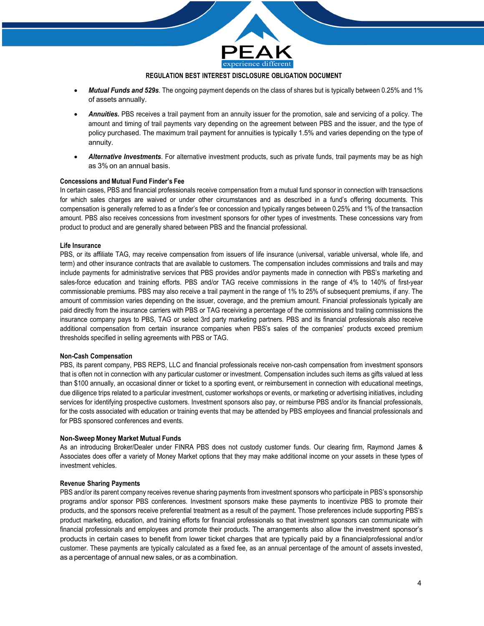

- *Mutual Funds and 529s*. The ongoing payment depends on the class of shares but is typically between 0.25% and 1% of assets annually.
- *Annuities.* PBS receives a trail payment from an annuity issuer for the promotion, sale and servicing of a policy. The amount and timing of trail payments vary depending on the agreement between PBS and the issuer, and the type of policy purchased. The maximum trail payment for annuities is typically 1.5% and varies depending on the type of annuity.
- *Alternative Investments*. For alternative investment products, such as private funds, trail payments may be as high as 3% on an annual basis.

## **Concessions and Mutual Fund Finder's Fee**

In certain cases, PBS and financial professionals receive compensation from a mutual fund sponsor in connection with transactions for which sales charges are waived or under other circumstances and as described in a fund's offering documents. This compensation is generally referred to as a finder's fee or concession and typically ranges between 0.25% and 1% of the transaction amount. PBS also receives concessions from investment sponsors for other types of investments. These concessions vary from product to product and are generally shared between PBS and the financial professional.

## **Life Insurance**

PBS, or its affiliate TAG, may receive compensation from issuers of life insurance (universal, variable universal, whole life, and term) and other insurance contracts that are available to customers. The compensation includes commissions and trails and may include payments for administrative services that PBS provides and/or payments made in connection with PBS's marketing and sales-force education and training efforts. PBS and/or TAG receive commissions in the range of 4% to 140% of first-year commissionable premiums. PBS may also receive a trail payment in the range of 1% to 25% of subsequent premiums, if any. The amount of commission varies depending on the issuer, coverage, and the premium amount. Financial professionals typically are paid directly from the insurance carriers with PBS or TAG receiving a percentage of the commissions and trailing commissions the insurance company pays to PBS, TAG or select 3rd party marketing partners. PBS and its financial professionals also receive additional compensation from certain insurance companies when PBS's sales of the companies' products exceed premium thresholds specified in selling agreements with PBS or TAG.

#### **Non-Cash Compensation**

PBS, its parent company, PBS REPS, LLC and financial professionals receive non-cash compensation from investment sponsors that is often not in connection with any particular customer or investment. Compensation includes such items as gifts valued at less than \$100 annually, an occasional dinner or ticket to a sporting event, or reimbursement in connection with educational meetings, due diligence trips related to a particular investment, customer workshops or events, or marketing or advertising initiatives, including services for identifying prospective customers. Investment sponsors also pay, or reimburse PBS and/or its financial professionals, for the costs associated with education or training events that may be attended by PBS employees and financial professionals and for PBS sponsored conferences and events.

#### **Non-Sweep Money Market Mutual Funds**

As an introducing Broker/Dealer under FINRA PBS does not custody customer funds. Our clearing firm, Raymond James & Associates does offer a variety of Money Market options that they may make additional income on your assets in these types of investment vehicles.

#### **Revenue Sharing Payments**

PBS and/or its parent company receives revenue sharing payments from investment sponsors who participate in PBS's sponsorship programs and/or sponsor PBS conferences. Investment sponsors make these payments to incentivize PBS to promote their products, and the sponsors receive preferential treatment as a result of the payment. Those preferences include supporting PBS's product marketing, education, and training efforts for financial professionals so that investment sponsors can communicate with financial professionals and employees and promote their products. The arrangements also allow the investment sponsor's products in certain cases to benefit from lower ticket charges that are typically paid by a financialprofessional and/or customer. These payments are typically calculated as a fixed fee, as an annual percentage of the amount of assets invested, as a percentage of annual new sales, or as a combination.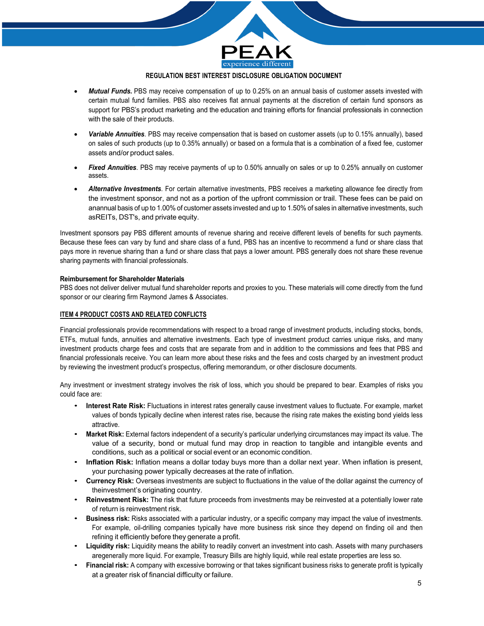

- *Mutual Funds.* PBS may receive compensation of up to 0.25% on an annual basis of customer assets invested with certain mutual fund families. PBS also receives flat annual payments at the discretion of certain fund sponsors as support for PBS's product marketing and the education and training efforts for financial professionals in connection with the sale of their products.
- *Variable Annuities*. PBS may receive compensation that is based on customer assets (up to 0.15% annually), based on sales of such products (up to 0.35% annually) or based on a formula that is a combination of a fixed fee, customer assets and/or product sales.
- *Fixed Annuities*. PBS may receive payments of up to 0.50% annually on sales or up to 0.25% annually on customer assets.
- *Alternative Investments*. For certain alternative investments, PBS receives a marketing allowance fee directly from the investment sponsor, and not as a portion of the upfront commission or trail. These fees can be paid on anannual basis of up to 1.00% of customer assets invested and up to 1.50% of sales in alternative investments, such asREITs, DST's, and private equity.

Investment sponsors pay PBS different amounts of revenue sharing and receive different levels of benefits for such payments. Because these fees can vary by fund and share class of a fund, PBS has an incentive to recommend a fund or share class that pays more in revenue sharing than a fund or share class that pays a lower amount. PBS generally does not share these revenue sharing payments with financial professionals.

## **Reimbursement for Shareholder Materials**

PBS does not deliver deliver mutual fund shareholder reports and proxies to you. These materials will come directly from the fund sponsor or our clearing firm Raymond James & Associates.

## **ITEM 4 PRODUCT COSTS AND RELATED CONFLICTS**

Financial professionals provide recommendations with respect to a broad range of investment products, including stocks, bonds, ETFs, mutual funds, annuities and alternative investments. Each type of investment product carries unique risks, and many investment products charge fees and costs that are separate from and in addition to the commissions and fees that PBS and financial professionals receive. You can learn more about these risks and the fees and costs charged by an investment product by reviewing the investment product's prospectus, offering memorandum, or other disclosure documents.

Any investment or investment strategy involves the risk of loss, which you should be prepared to bear. Examples of risks you could face are:

- **Interest Rate Risk:** Fluctuations in interest rates generally cause investment values to fluctuate. For example, market values of bonds typically decline when interest rates rise, because the rising rate makes the existing bond yields less attractive.
- **Market Risk:** External factors independent of a security's particular underlying circumstances may impact its value. The value of a security, bond or mutual fund may drop in reaction to tangible and intangible events and conditions, such as a political or social event or an economic condition.
- **Inflation Risk:** Inflation means a dollar today buys more than a dollar next year. When inflation is present, your purchasing power typically decreases at the rate of inflation.
- **Currency Risk:** Overseas investments are subject to fluctuations in the value of the dollar against the currency of theinvestment's originating country.
- **Reinvestment Risk:** The risk that future proceeds from investments may be reinvested at a potentially lower rate of return is reinvestment risk.
- **Business risk:** Risks associated with a particular industry, or a specific company may impact the value of investments. For example, oil-drilling companies typically have more business risk since they depend on finding oil and then refining it efficiently before they generate a profit.
- **Liquidity risk:** Liquidity means the ability to readily convert an investment into cash. Assets with many purchasers aregenerally more liquid. For example, Treasury Bills are highly liquid, while real estate properties are less so.
- **Financial risk:** A company with excessive borrowing or that takes significant business risks to generate profit is typically at a greater risk of financial difficulty or failure.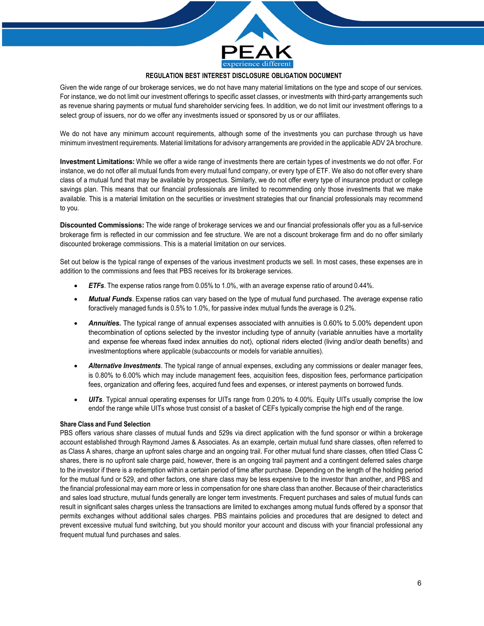

Given the wide range of our brokerage services, we do not have many material limitations on the type and scope of our services. For instance, we do not limit our investment offerings to specific asset classes, or investments with third-party arrangements such as revenue sharing payments or mutual fund shareholder servicing fees. In addition, we do not limit our investment offerings to a select group of issuers, nor do we offer any investments issued or sponsored by us or our affiliates.

We do not have any minimum account requirements, although some of the investments you can purchase through us have minimum investment requirements. Material limitations for advisory arrangements are provided in the applicable ADV 2A brochure.

**Investment Limitations:** While we offer a wide range of investments there are certain types of investments we do not offer. For instance, we do not offer all mutual funds from every mutual fund company, or every type of ETF. We also do not offer every share class of a mutual fund that may be available by prospectus. Similarly, we do not offer every type of insurance product or college savings plan. This means that our financial professionals are limited to recommending only those investments that we make available. This is a material limitation on the securities or investment strategies that our financial professionals may recommend to you.

**Discounted Commissions:** The wide range of brokerage services we and our financial professionals offer you as a full-service brokerage firm is reflected in our commission and fee structure. We are not a discount brokerage firm and do no offer similarly discounted brokerage commissions. This is a material limitation on our services.

Set out below is the typical range of expenses of the various investment products we sell. In most cases, these expenses are in addition to the commissions and fees that PBS receives for its brokerage services.

- *ETFs*. The expense ratios range from 0.05% to 1.0%, with an average expense ratio of around 0.44%.
- *Mutual Funds*. Expense ratios can vary based on the type of mutual fund purchased. The average expense ratio foractively managed funds is 0.5% to 1.0%, for passive index mutual funds the average is 0.2%.
- *Annuities.* The typical range of annual expenses associated with annuities is 0.60% to 5.00% dependent upon thecombination of options selected by the investor including type of annuity (variable annuities have a mortality and expense fee whereas fixed index annuities do not), optional riders elected (living and/or death benefits) and investmentoptions where applicable (subaccounts or models for variable annuities).
- *Alternative Investments*. The typical range of annual expenses, excluding any commissions or dealer manager fees, is 0.80% to 6.00% which may include management fees, acquisition fees, disposition fees, performance participation fees, organization and offering fees, acquired fund fees and expenses, or interest payments on borrowed funds.
- *UITs*. Typical annual operating expenses for UITs range from 0.20% to 4.00%. Equity UITs usually comprise the low endof the range while UITs whose trust consist of a basket of CEFs typically comprise the high end of the range.

# **Share Class and Fund Selection**

PBS offers various share classes of mutual funds and 529s via direct application with the fund sponsor or within a brokerage account established through Raymond James & Associates. As an example, certain mutual fund share classes, often referred to as Class A shares, charge an upfront sales charge and an ongoing trail. For other mutual fund share classes, often titled Class C shares, there is no upfront sale charge paid, however, there is an ongoing trail payment and a contingent deferred sales charge to the investor if there is a redemption within a certain period of time after purchase. Depending on the length of the holding period for the mutual fund or 529, and other factors, one share class may be less expensive to the investor than another, and PBS and the financial professional may earn more or less in compensation for one share class than another. Because of their characteristics and sales load structure, mutual funds generally are longer term investments. Frequent purchases and sales of mutual funds can result in significant sales charges unless the transactions are limited to exchanges among mutual funds offered by a sponsor that permits exchanges without additional sales charges. PBS maintains policies and procedures that are designed to detect and prevent excessive mutual fund switching, but you should monitor your account and discuss with your financial professional any frequent mutual fund purchases and sales.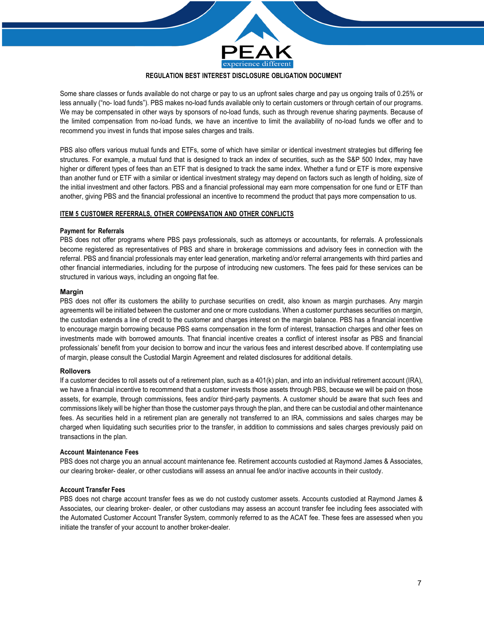

Some share classes or funds available do not charge or pay to us an upfront sales charge and pay us ongoing trails of 0.25% or less annually ("no- load funds"). PBS makes no-load funds available only to certain customers or through certain of our programs. We may be compensated in other ways by sponsors of no-load funds, such as through revenue sharing payments. Because of the limited compensation from no-load funds, we have an incentive to limit the availability of no-load funds we offer and to recommend you invest in funds that impose sales charges and trails.

PBS also offers various mutual funds and ETFs, some of which have similar or identical investment strategies but differing fee structures. For example, a mutual fund that is designed to track an index of securities, such as the S&P 500 Index, may have higher or different types of fees than an ETF that is designed to track the same index. Whether a fund or ETF is more expensive than another fund or ETF with a similar or identical investment strategy may depend on factors such as length of holding, size of the initial investment and other factors. PBS and a financial professional may earn more compensation for one fund or ETF than another, giving PBS and the financial professional an incentive to recommend the product that pays more compensation to us.

#### **ITEM 5 CUSTOMER REFERRALS, OTHER COMPENSATION AND OTHER CONFLICTS**

#### **Payment for Referrals**

PBS does not offer programs where PBS pays professionals, such as attorneys or accountants, for referrals. A professionals become registered as representatives of PBS and share in brokerage commissions and advisory fees in connection with the referral. PBS and financial professionals may enter lead generation, marketing and/or referral arrangements with third parties and other financial intermediaries, including for the purpose of introducing new customers. The fees paid for these services can be structured in various ways, including an ongoing flat fee.

#### **Margin**

PBS does not offer its customers the ability to purchase securities on credit, also known as margin purchases. Any margin agreements will be initiated between the customer and one or more custodians. When a customer purchases securities on margin, the custodian extends a line of credit to the customer and charges interest on the margin balance. PBS has a financial incentive to encourage margin borrowing because PBS earns compensation in the form of interest, transaction charges and other fees on investments made with borrowed amounts. That financial incentive creates a conflict of interest insofar as PBS and financial professionals' benefit from your decision to borrow and incur the various fees and interest described above. If contemplating use of margin, please consult the Custodial Margin Agreement and related disclosures for additional details.

#### **Rollovers**

If a customer decides to roll assets out of a retirement plan, such as a 401(k) plan, and into an individual retirement account (IRA), we have a financial incentive to recommend that a customer invests those assets through PBS, because we will be paid on those assets, for example, through commissions, fees and/or third-party payments. A customer should be aware that such fees and commissions likely will be higher than those the customer pays through the plan, and there can be custodial and other maintenance fees. As securities held in a retirement plan are generally not transferred to an IRA, commissions and sales charges may be charged when liquidating such securities prior to the transfer, in addition to commissions and sales charges previously paid on transactions in the plan.

#### **Account Maintenance Fees**

PBS does not charge you an annual account maintenance fee. Retirement accounts custodied at Raymond James & Associates, our clearing broker- dealer, or other custodians will assess an annual fee and/or inactive accounts in their custody.

#### **Account Transfer Fees**

PBS does not charge account transfer fees as we do not custody customer assets. Accounts custodied at Raymond James & Associates, our clearing broker- dealer, or other custodians may assess an account transfer fee including fees associated with the Automated Customer Account Transfer System, commonly referred to as the ACAT fee. These fees are assessed when you initiate the transfer of your account to another broker-dealer.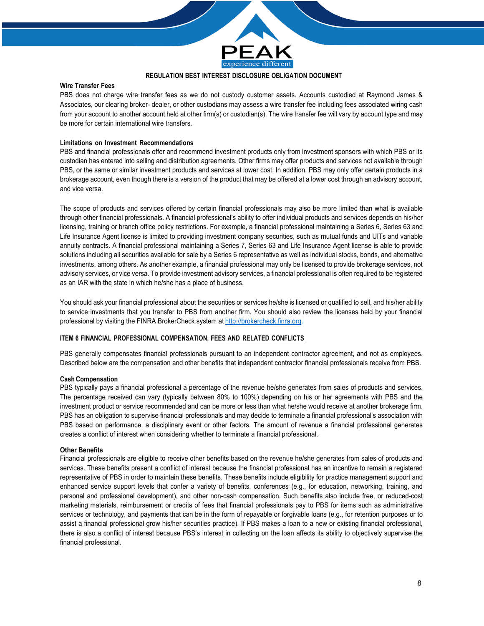

## **Wire Transfer Fees**

PBS does not charge wire transfer fees as we do not custody customer assets. Accounts custodied at Raymond James & Associates, our clearing broker- dealer, or other custodians may assess a wire transfer fee including fees associated wiring cash from your account to another account held at other firm(s) or custodian(s). The wire transfer fee will vary by account type and may be more for certain international wire transfers.

# **Limitations on Investment Recommendations**

PBS and financial professionals offer and recommend investment products only from investment sponsors with which PBS or its custodian has entered into selling and distribution agreements. Other firms may offer products and services not available through PBS, or the same or similar investment products and services at lower cost. In addition, PBS may only offer certain products in a brokerage account, even though there is a version of the product that may be offered at a lower cost through an advisory account, and vice versa.

The scope of products and services offered by certain financial professionals may also be more limited than what is available through other financial professionals. A financial professional's ability to offer individual products and services depends on his/her licensing, training or branch office policy restrictions. For example, a financial professional maintaining a Series 6, Series 63 and Life Insurance Agent license is limited to providing investment company securities, such as mutual funds and UITs and variable annuity contracts. A financial professional maintaining a Series 7, Series 63 and Life Insurance Agent license is able to provide solutions including all securities available for sale by a Series 6 representative as well as individual stocks, bonds, and alternative investments, among others. As another example, a financial professional may only be licensed to provide brokerage services, not advisory services, or vice versa. To provide investment advisory services, a financial professional is often required to be registered as an IAR with the state in which he/she has a place of business.

You should ask your financial professional about the securities or services he/she is licensed or qualified to sell, and his/her ability to service investments that you transfer to PBS from another firm. You should also review the licenses held by your financial professional by visiting the FINRA BrokerCheck system at http://brokercheck.finra.org.

#### **ITEM 6 FINANCIAL PROFESSIONAL COMPENSATION, FEES AND RELATED CONFLICTS**

PBS generally compensates financial professionals pursuant to an independent contractor agreement, and not as employees. Described below are the compensation and other benefits that independent contractor financial professionals receive from PBS.

#### **Cash Compensation**

PBS typically pays a financial professional a percentage of the revenue he/she generates from sales of products and services. The percentage received can vary (typically between 80% to 100%) depending on his or her agreements with PBS and the investment product or service recommended and can be more or less than what he/she would receive at another brokerage firm. PBS has an obligation to supervise financial professionals and may decide to terminate a financial professional's association with PBS based on performance, a disciplinary event or other factors. The amount of revenue a financial professional generates creates a conflict of interest when considering whether to terminate a financial professional.

#### **Other Benefits**

Financial professionals are eligible to receive other benefits based on the revenue he/she generates from sales of products and services. These benefits present a conflict of interest because the financial professional has an incentive to remain a registered representative of PBS in order to maintain these benefits. These benefits include eligibility for practice management support and enhanced service support levels that confer a variety of benefits, conferences (e.g., for education, networking, training, and personal and professional development), and other non-cash compensation. Such benefits also include free, or reduced-cost marketing materials, reimbursement or credits of fees that financial professionals pay to PBS for items such as administrative services or technology, and payments that can be in the form of repayable or forgivable loans (e.g., for retention purposes or to assist a financial professional grow his/her securities practice). If PBS makes a loan to a new or existing financial professional, there is also a conflict of interest because PBS's interest in collecting on the loan affects its ability to objectively supervise the financial professional.